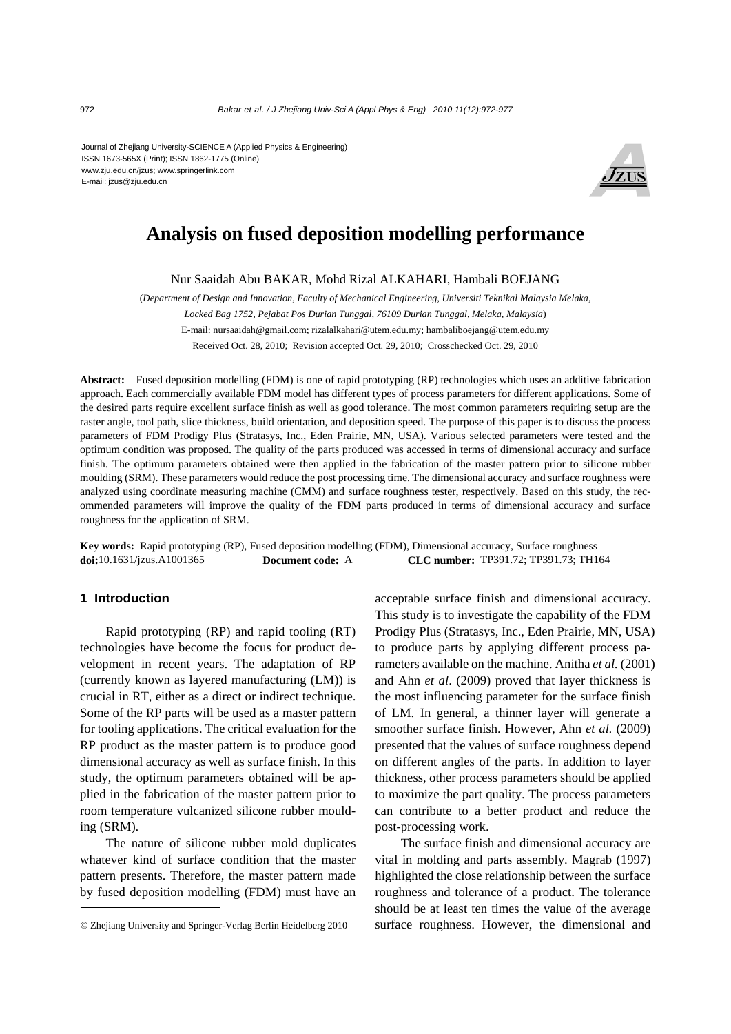Journal of Zhejiang University-SCIENCE A (Applied Physics & Engineering) ISSN 1673-565X (Print); ISSN 1862-1775 (Online) www.zju.edu.cn/jzus; www.springerlink.com E-mail: jzus@zju.edu.cn



# **Analysis on fused deposition modelling performance**

Nur Saaidah Abu BAKAR, Mohd Rizal ALKAHARI, Hambali BOEJANG

(*Department of Design and Innovation, Faculty of Mechanical Engineering, Universiti Teknikal Malaysia Melaka, Locked Bag 1752, Pejabat Pos Durian Tunggal, 76109 Durian Tunggal, Melaka, Malaysia*) E-mail: nursaaidah@gmail.com; rizalalkahari@utem.edu.my; hambaliboejang@utem.edu.my Received Oct. 28, 2010; Revision accepted Oct. 29, 2010; Crosschecked Oct. 29, 2010

**Abstract:** Fused deposition modelling (FDM) is one of rapid prototyping (RP) technologies which uses an additive fabrication approach. Each commercially available FDM model has different types of process parameters for different applications. Some of the desired parts require excellent surface finish as well as good tolerance. The most common parameters requiring setup are the raster angle, tool path, slice thickness, build orientation, and deposition speed. The purpose of this paper is to discuss the process parameters of FDM Prodigy Plus (Stratasys, Inc., Eden Prairie, MN, USA). Various selected parameters were tested and the optimum condition was proposed. The quality of the parts produced was accessed in terms of dimensional accuracy and surface finish. The optimum parameters obtained were then applied in the fabrication of the master pattern prior to silicone rubber moulding (SRM). These parameters would reduce the post processing time. The dimensional accuracy and surface roughness were analyzed using coordinate measuring machine (CMM) and surface roughness tester, respectively. Based on this study, the recommended parameters will improve the quality of the FDM parts produced in terms of dimensional accuracy and surface roughness for the application of SRM.

**Key words:** Rapid prototyping (RP), Fused deposition modelling (FDM), Dimensional accuracy, Surface roughness **doi:**10.1631/jzus.A1001365 **Document code:** A **CLC number:** TP391.72; TP391.73; TH164

## **1 Introduction**

Rapid prototyping (RP) and rapid tooling (RT) technologies have become the focus for product development in recent years. The adaptation of RP (currently known as layered manufacturing (LM)) is crucial in RT, either as a direct or indirect technique. Some of the RP parts will be used as a master pattern for tooling applications. The critical evaluation for the RP product as the master pattern is to produce good dimensional accuracy as well as surface finish. In this study, the optimum parameters obtained will be applied in the fabrication of the master pattern prior to room temperature vulcanized silicone rubber moulding (SRM).

The nature of silicone rubber mold duplicates whatever kind of surface condition that the master pattern presents. Therefore, the master pattern made by fused deposition modelling (FDM) must have an acceptable surface finish and dimensional accuracy. This study is to investigate the capability of the FDM Prodigy Plus (Stratasys, Inc., Eden Prairie, MN, USA) to produce parts by applying different process parameters available on the machine. Anitha *et al.* (2001) and Ahn *et al*. (2009) proved that layer thickness is the most influencing parameter for the surface finish of LM. In general, a thinner layer will generate a smoother surface finish. However, Ahn *et al.* (2009) presented that the values of surface roughness depend on different angles of the parts. In addition to layer thickness, other process parameters should be applied to maximize the part quality. The process parameters can contribute to a better product and reduce the post-processing work.

The surface finish and dimensional accuracy are vital in molding and parts assembly. Magrab (1997) highlighted the close relationship between the surface roughness and tolerance of a product. The tolerance should be at least ten times the value of the average surface roughness. However, the dimensional and

<sup>©</sup> Zhejiang University and Springer-Verlag Berlin Heidelberg 2010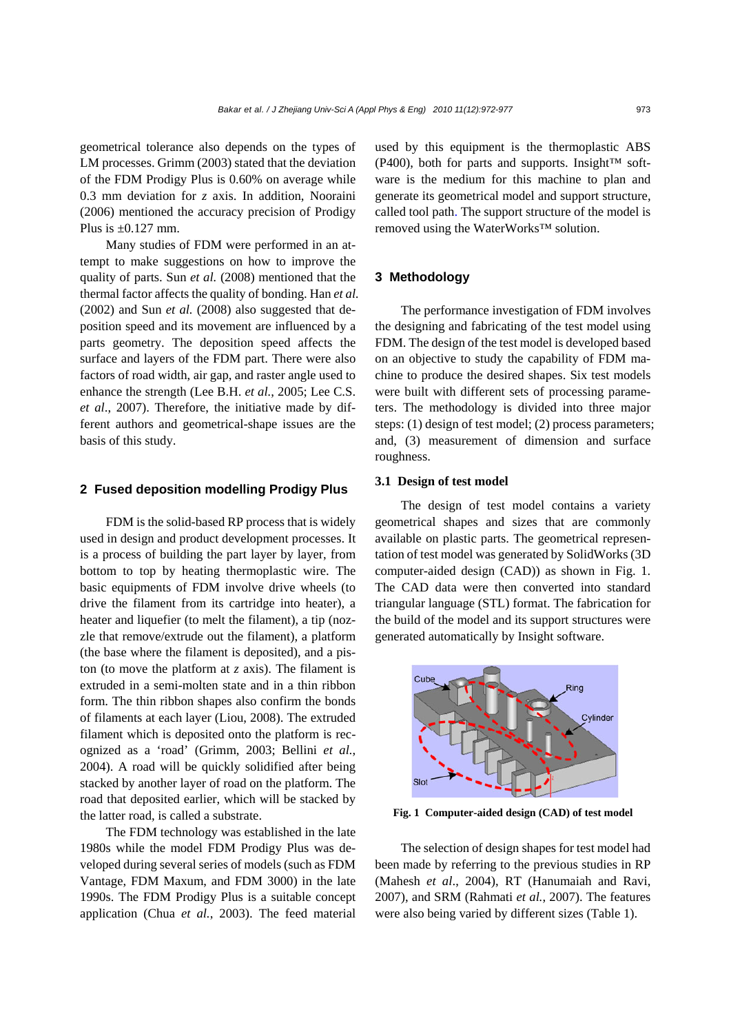geometrical tolerance also depends on the types of LM processes. Grimm (2003) stated that the deviation of the FDM Prodigy Plus is 0.60% on average while 0.3 mm deviation for *z* axis. In addition, Nooraini (2006) mentioned the accuracy precision of Prodigy Plus is  $\pm 0.127$  mm.

Many studies of FDM were performed in an attempt to make suggestions on how to improve the quality of parts. Sun *et al.* (2008) mentioned that the thermal factor affects the quality of bonding. Han *et al.* (2002) and Sun *et al.* (2008) also suggested that deposition speed and its movement are influenced by a parts geometry. The deposition speed affects the surface and layers of the FDM part. There were also factors of road width, air gap, and raster angle used to enhance the strength (Lee B.H. *et al.*, 2005; Lee C.S. *et al*., 2007). Therefore, the initiative made by different authors and geometrical-shape issues are the basis of this study.

#### **2 Fused deposition modelling Prodigy Plus**

FDM is the solid-based RP process that is widely used in design and product development processes. It is a process of building the part layer by layer, from bottom to top by heating thermoplastic wire. The basic equipments of FDM involve drive wheels (to drive the filament from its cartridge into heater), a heater and liquefier (to melt the filament), a tip (nozzle that remove/extrude out the filament), a platform (the base where the filament is deposited), and a piston (to move the platform at *z* axis). The filament is extruded in a semi-molten state and in a thin ribbon form. The thin ribbon shapes also confirm the bonds of filaments at each layer (Liou, 2008). The extruded filament which is deposited onto the platform is recognized as a 'road' (Grimm, 2003; Bellini *et al.*, 2004). A road will be quickly solidified after being stacked by another layer of road on the platform. The road that deposited earlier, which will be stacked by the latter road, is called a substrate.

The FDM technology was established in the late 1980s while the model FDM Prodigy Plus was developed during several series of models (such as FDM Vantage, FDM Maxum, and FDM 3000) in the late 1990s. The FDM Prodigy Plus is a suitable concept application (Chua *et al.*, 2003). The feed material used by this equipment is the thermoplastic ABS (P400), both for parts and supports. Insight<sup>™</sup> software is the medium for this machine to plan and generate its geometrical model and support structure, called tool path. The support structure of the model is removed using the WaterWorks™ solution.

## **3 Methodology**

The performance investigation of FDM involves the designing and fabricating of the test model using FDM. The design of the test model is developed based on an objective to study the capability of FDM machine to produce the desired shapes. Six test models were built with different sets of processing parameters. The methodology is divided into three major steps: (1) design of test model; (2) process parameters; and, (3) measurement of dimension and surface roughness.

## **3.1 Design of test model**

The design of test model contains a variety geometrical shapes and sizes that are commonly available on plastic parts. The geometrical representation of test model was generated by SolidWorks (3D computer-aided design (CAD)) as shown in Fig. 1. The CAD data were then converted into standard triangular language (STL) format. The fabrication for the build of the model and its support structures were generated automatically by Insight software.



**Fig. 1 Computer-aided design (CAD) of test model** 

The selection of design shapes for test model had been made by referring to the previous studies in RP (Mahesh *et al*., 2004), RT (Hanumaiah and Ravi, 2007), and SRM (Rahmati *et al.*, 2007). The features were also being varied by different sizes (Table 1).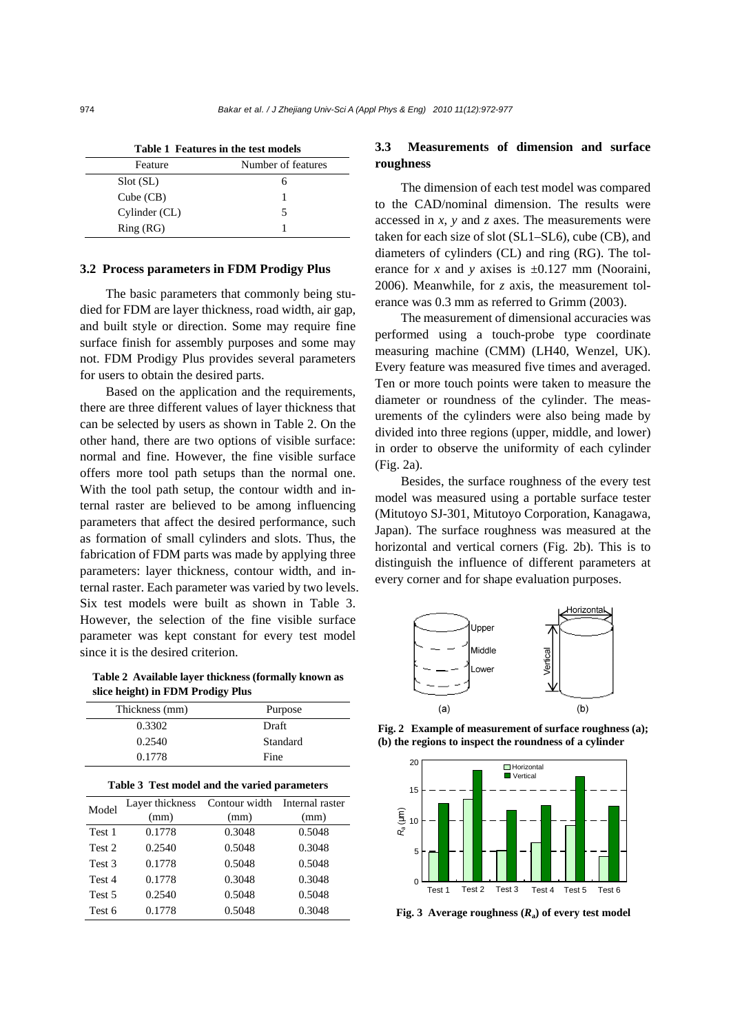| Table 1 Features in the test models |                    |  |  |  |  |  |
|-------------------------------------|--------------------|--|--|--|--|--|
| Feature                             | Number of features |  |  |  |  |  |
| Slot (SL)                           |                    |  |  |  |  |  |
| Cube (CB)                           |                    |  |  |  |  |  |
| Cylinder (CL)                       | ↖                  |  |  |  |  |  |
| Ring(RG)                            |                    |  |  |  |  |  |

### **3.2 Process parameters in FDM Prodigy Plus**

The basic parameters that commonly being studied for FDM are layer thickness, road width, air gap, and built style or direction. Some may require fine surface finish for assembly purposes and some may not. FDM Prodigy Plus provides several parameters for users to obtain the desired parts.

Based on the application and the requirements, there are three different values of layer thickness that can be selected by users as shown in Table 2. On the other hand, there are two options of visible surface: normal and fine. However, the fine visible surface offers more tool path setups than the normal one. With the tool path setup, the contour width and internal raster are believed to be among influencing parameters that affect the desired performance, such as formation of small cylinders and slots. Thus, the fabrication of FDM parts was made by applying three parameters: layer thickness, contour width, and internal raster. Each parameter was varied by two levels. Six test models were built as shown in Table 3. However, the selection of the fine visible surface parameter was kept constant for every test model since it is the desired criterion.

**Table 2 Available layer thickness (formally known as slice height) in FDM Prodigy Plus** 

|                                              | Thickness (mm)  | Purpose                       |        |  |  |  |  |  |
|----------------------------------------------|-----------------|-------------------------------|--------|--|--|--|--|--|
|                                              | 0.3302          | Draft                         |        |  |  |  |  |  |
|                                              | 0.2540          | Standard                      |        |  |  |  |  |  |
|                                              | 0.1778          | Fine                          |        |  |  |  |  |  |
| Table 3 Test model and the varied parameters |                 |                               |        |  |  |  |  |  |
| Model                                        | Layer thickness | Contour width Internal raster |        |  |  |  |  |  |
|                                              | (mm)            | (mm)                          | (mm)   |  |  |  |  |  |
| Test 1                                       | 0.1778          | 0.3048                        | 0.5048 |  |  |  |  |  |
| Test 2                                       | 0.2540          | 0.5048                        | 0.3048 |  |  |  |  |  |
| Test 3                                       | 0.1778          | 0.5048                        | 0.5048 |  |  |  |  |  |
| Test 4                                       | 0.1778          | 0.3048                        | 0.3048 |  |  |  |  |  |
| Test 5                                       | 0.2540          | 0.5048                        | 0.5048 |  |  |  |  |  |
| Test 6                                       | 0.1778          | 0.5048                        | 0.3048 |  |  |  |  |  |

# **3.3 Measurements of dimension and surface roughness**

The dimension of each test model was compared to the CAD/nominal dimension. The results were accessed in *x*, *y* and *z* axes. The measurements were taken for each size of slot (SL1–SL6), cube (CB), and diameters of cylinders (CL) and ring (RG). The tolerance for *x* and *y* axises is  $\pm 0.127$  mm (Nooraini, 2006). Meanwhile, for *z* axis, the measurement tolerance was 0.3 mm as referred to Grimm (2003).

The measurement of dimensional accuracies was performed using a touch-probe type coordinate measuring machine (CMM) (LH40, Wenzel, UK). Every feature was measured five times and averaged. Ten or more touch points were taken to measure the diameter or roundness of the cylinder. The measurements of the cylinders were also being made by divided into three regions (upper, middle, and lower) in order to observe the uniformity of each cylinder (Fig. 2a).

Besides, the surface roughness of the every test model was measured using a portable surface tester (Mitutoyo SJ-301, Mitutoyo Corporation, Kanagawa, Japan). The surface roughness was measured at the horizontal and vertical corners (Fig. 2b). This is to distinguish the influence of different parameters at every corner and for shape evaluation purposes.



**Fig. 2 Example of measurement of surface roughness (a); (b) the regions to inspect the roundness of a cylinder**



**Fig. 3** Average roughness  $(R_a)$  of every test model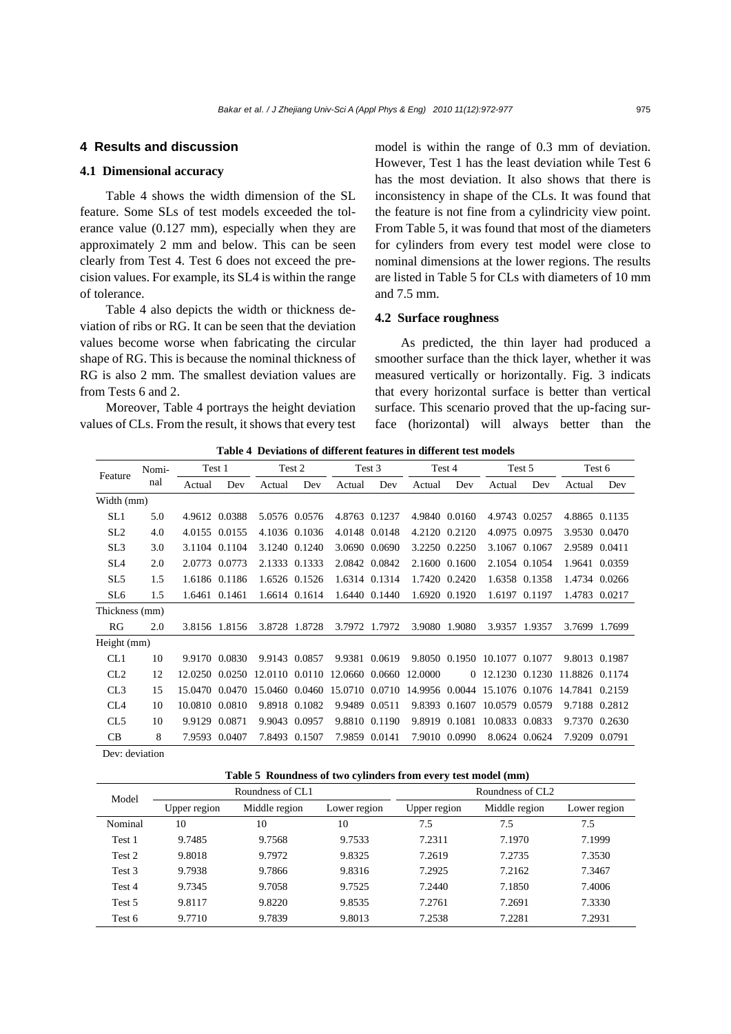## **4 Results and discussion**

## **4.1 Dimensional accuracy**

Table 4 shows the width dimension of the SL feature. Some SLs of test models exceeded the tolerance value (0.127 mm), especially when they are approximately 2 mm and below. This can be seen clearly from Test 4. Test 6 does not exceed the precision values. For example, its SL4 is within the range of tolerance.

Table 4 also depicts the width or thickness deviation of ribs or RG. It can be seen that the deviation values become worse when fabricating the circular shape of RG. This is because the nominal thickness of RG is also 2 mm. The smallest deviation values are from Tests 6 and 2.

Moreover, Table 4 portrays the height deviation values of CLs. From the result, it shows that every test model is within the range of 0.3 mm of deviation. However, Test 1 has the least deviation while Test 6 has the most deviation. It also shows that there is inconsistency in shape of the CLs. It was found that the feature is not fine from a cylindricity view point. From Table 5, it was found that most of the diameters for cylinders from every test model were close to nominal dimensions at the lower regions. The results are listed in Table 5 for CLs with diameters of 10 mm and 7.5 mm.

# **4.2 Surface roughness**

As predicted, the thin layer had produced a smoother surface than the thick layer, whether it was measured vertically or horizontally. Fig. 3 indicats that every horizontal surface is better than vertical surface. This scenario proved that the up-facing surface (horizontal) will always better than the

| Feature                                                          | Nomi- | Test 1         |               | Test 2        |               | Test 3 |               | Test 4                                               |               | Test 5                       |               | Test 6                                                                                    |               |
|------------------------------------------------------------------|-------|----------------|---------------|---------------|---------------|--------|---------------|------------------------------------------------------|---------------|------------------------------|---------------|-------------------------------------------------------------------------------------------|---------------|
|                                                                  | nal   | Actual         | Dev           | Actual        | Dev           | Actual | Dev           | Actual                                               | Dev           | Actual                       | Dev           | Actual                                                                                    | Dev           |
| Width (mm)                                                       |       |                |               |               |               |        |               |                                                      |               |                              |               |                                                                                           |               |
| SL <sub>1</sub>                                                  | 5.0   |                | 4.9612 0.0388 |               | 5.0576 0.0576 |        | 4.8763 0.1237 |                                                      | 4.9840 0.0160 |                              | 4.9743 0.0257 |                                                                                           | 4.8865 0.1135 |
| SL <sub>2</sub>                                                  | 4.0   |                | 4.0155 0.0155 |               | 4.1036 0.1036 |        | 4.0148 0.0148 |                                                      | 4.2120 0.2120 |                              | 4.0975 0.0975 |                                                                                           | 3.9530 0.0470 |
| SL <sub>3</sub>                                                  | 3.0   |                | 3.1104 0.1104 |               | 3.1240 0.1240 |        | 3.0690 0.0690 |                                                      | 3.2250 0.2250 |                              | 3.1067 0.1067 | 2.9589 0.0411                                                                             |               |
| SL4                                                              | 2.0   |                | 2.0773 0.0773 |               | 2.1333 0.1333 |        | 2.0842 0.0842 |                                                      | 2.1600 0.1600 |                              | 2.1054 0.1054 |                                                                                           | 1.9641 0.0359 |
| SL <sub>5</sub>                                                  | 1.5   |                | 1.6186 0.1186 |               | 1.6526 0.1526 |        | 1.6314 0.1314 |                                                      | 1.7420 0.2420 |                              | 1.6358 0.1358 |                                                                                           | 1.4734 0.0266 |
| SL <sub>6</sub>                                                  | 1.5   |                | 1.6461 0.1461 |               | 1.6614 0.1614 |        | 1.6440 0.1440 |                                                      | 1.6920 0.1920 |                              | 1.6197 0.1197 |                                                                                           | 1.4783 0.0217 |
| Thickness (mm)                                                   |       |                |               |               |               |        |               |                                                      |               |                              |               |                                                                                           |               |
| RG                                                               | 2.0   |                | 3.8156 1.8156 | 3.8728 1.8728 |               |        | 3.7972 1.7972 |                                                      | 3.9080 1.9080 |                              | 3.9357 1.9357 |                                                                                           | 3.7699 1.7699 |
| Height (mm)                                                      |       |                |               |               |               |        |               |                                                      |               |                              |               |                                                                                           |               |
| CL1                                                              | 10    |                | 9.9170 0.0830 | 9.9143 0.0857 |               |        | 9.9381 0.0619 |                                                      |               | 9.8050 0.1950 10.1077 0.1077 |               | 9.8013 0.1987                                                                             |               |
| CL2                                                              | 12    |                |               |               |               |        |               | 12.0250 0.0250 12.0110 0.0110 12.0660 0.0660 12.0000 |               |                              |               | 0 12.1230 0.1230 11.8826 0.1174                                                           |               |
| CL3                                                              | 15    |                |               |               |               |        |               |                                                      |               |                              |               | 15.0470 0.0470 15.0460 0.0460 15.0710 0.0710 14.9956 0.0044 15.1076 0.1076 14.7841 0.2159 |               |
| CL <sub>4</sub>                                                  | 10    | 10.0810 0.0810 |               |               | 9.8918 0.1082 |        | 9.9489 0.0511 |                                                      | 9.8393 0.1607 | 10.0579 0.0579               |               | 9.7188 0.2812                                                                             |               |
| CL5                                                              | 10    | 9.9129         | 0.0871        | 9.9043 0.0957 |               |        | 9.8810 0.1190 |                                                      | 9.8919 0.1081 | 10.0833 0.0833               |               |                                                                                           | 9.7370 0.2630 |
| CB                                                               | 8     |                | 7.9593 0.0407 | 7.8493 0.1507 |               |        | 7.9859 0.0141 |                                                      | 7.9010 0.0990 |                              | 8.0624 0.0624 | 7.9209                                                                                    | 0.0791        |
| $\mathbf{r}$ $\mathbf{r}$ $\mathbf{r}$ $\mathbf{r}$ $\mathbf{r}$ |       |                |               |               |               |        |               |                                                      |               |                              |               |                                                                                           |               |

**Table 4 Deviations of different features in different test models** 

Dev: deviation

|  |  | Table 5 Roundness of two cylinders from every test model (mm) |  |  |  |  |  |  |
|--|--|---------------------------------------------------------------|--|--|--|--|--|--|
|--|--|---------------------------------------------------------------|--|--|--|--|--|--|

| Model             |              | Roundness of CL <sub>1</sub> |              | Roundness of CL <sub>2</sub> |               |              |  |
|-------------------|--------------|------------------------------|--------------|------------------------------|---------------|--------------|--|
|                   | Upper region | Middle region                | Lower region | Upper region                 | Middle region | Lower region |  |
| Nominal           | 10           | 10                           | 10           | 7.5                          | 7.5           | 7.5          |  |
| Test 1            | 9.7485       | 9.7568                       | 9.7533       | 7.2311                       | 7.1970        | 7.1999       |  |
| Test 2            | 9.8018       | 9.7972                       | 9.8325       | 7.2619                       | 7.2735        | 7.3530       |  |
| Test <sub>3</sub> | 9.7938       | 9.7866                       | 9.8316       | 7.2925                       | 7.2162        | 7.3467       |  |
| Test 4            | 9.7345       | 9.7058                       | 9.7525       | 7.2440                       | 7.1850        | 7.4006       |  |
| Test 5            | 9.8117       | 9.8220                       | 9.8535       | 7.2761                       | 7.2691        | 7.3330       |  |
| Test 6            | 9.7710       | 9.7839                       | 9.8013       | 7.2538                       | 7.2281        | 7.2931       |  |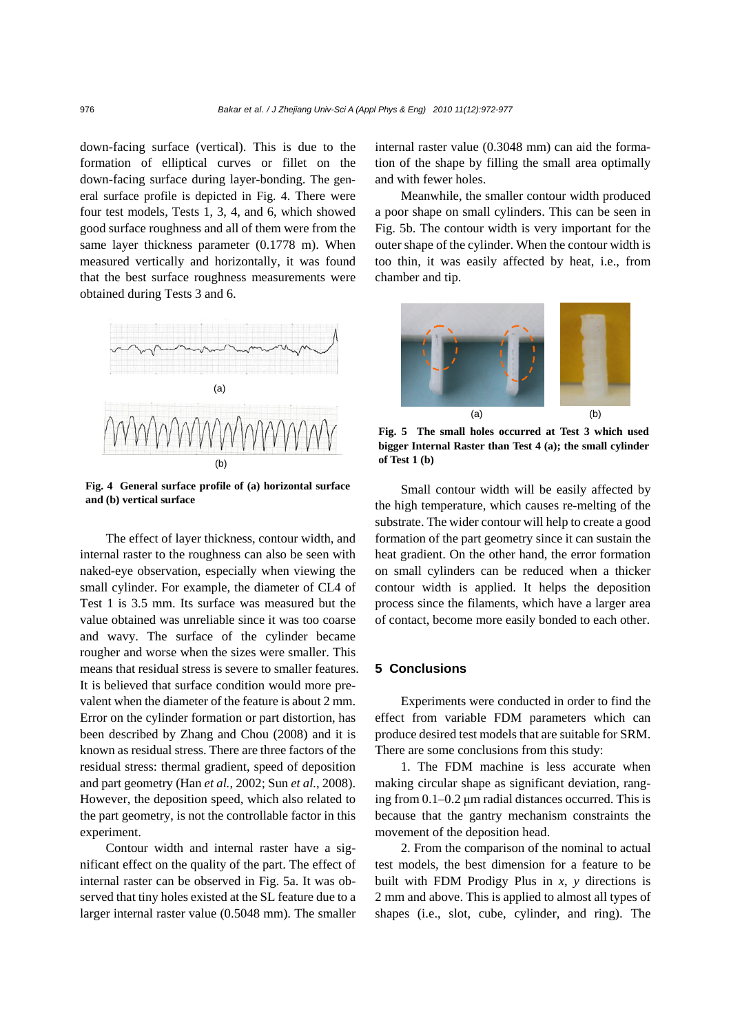down-facing surface (vertical). This is due to the formation of elliptical curves or fillet on the down-facing surface during layer-bonding. The general surface profile is depicted in Fig. 4. There were four test models, Tests 1, 3, 4, and 6, which showed good surface roughness and all of them were from the same layer thickness parameter (0.1778 m). When measured vertically and horizontally, it was found that the best surface roughness measurements were obtained during Tests 3 and 6.



**Fig. 4 General surface profile of (a) horizontal surface and (b) vertical surface** 

The effect of layer thickness, contour width, and internal raster to the roughness can also be seen with naked-eye observation, especially when viewing the small cylinder. For example, the diameter of CL4 of Test 1 is 3.5 mm. Its surface was measured but the value obtained was unreliable since it was too coarse and wavy. The surface of the cylinder became rougher and worse when the sizes were smaller. This means that residual stress is severe to smaller features. It is believed that surface condition would more prevalent when the diameter of the feature is about 2 mm. Error on the cylinder formation or part distortion, has been described by Zhang and Chou (2008) and it is known as residual stress. There are three factors of the residual stress: thermal gradient, speed of deposition and part geometry (Han *et al.*, 2002; Sun *et al.*, 2008). However, the deposition speed, which also related to the part geometry, is not the controllable factor in this experiment.

Contour width and internal raster have a significant effect on the quality of the part. The effect of internal raster can be observed in Fig. 5a. It was observed that tiny holes existed at the SL feature due to a larger internal raster value (0.5048 mm). The smaller internal raster value (0.3048 mm) can aid the formation of the shape by filling the small area optimally and with fewer holes.

Meanwhile, the smaller contour width produced a poor shape on small cylinders. This can be seen in Fig. 5b. The contour width is very important for the outer shape of the cylinder. When the contour width is too thin, it was easily affected by heat, i.e., from chamber and tip.



**Fig. 5 The small holes occurred at Test 3 which used bigger Internal Raster than Test 4 (a); the small cylinder of Test 1 (b)** 

Small contour width will be easily affected by the high temperature, which causes re-melting of the substrate. The wider contour will help to create a good formation of the part geometry since it can sustain the heat gradient. On the other hand, the error formation on small cylinders can be reduced when a thicker contour width is applied. It helps the deposition process since the filaments, which have a larger area of contact, become more easily bonded to each other.

## **5 Conclusions**

Experiments were conducted in order to find the effect from variable FDM parameters which can produce desired test models that are suitable for SRM. There are some conclusions from this study:

1. The FDM machine is less accurate when making circular shape as significant deviation, ranging from 0.1–0.2 μm radial distances occurred. This is because that the gantry mechanism constraints the movement of the deposition head.

2. From the comparison of the nominal to actual test models, the best dimension for a feature to be built with FDM Prodigy Plus in *x*, *y* directions is 2 mm and above. This is applied to almost all types of shapes (i.e., slot, cube, cylinder, and ring). The